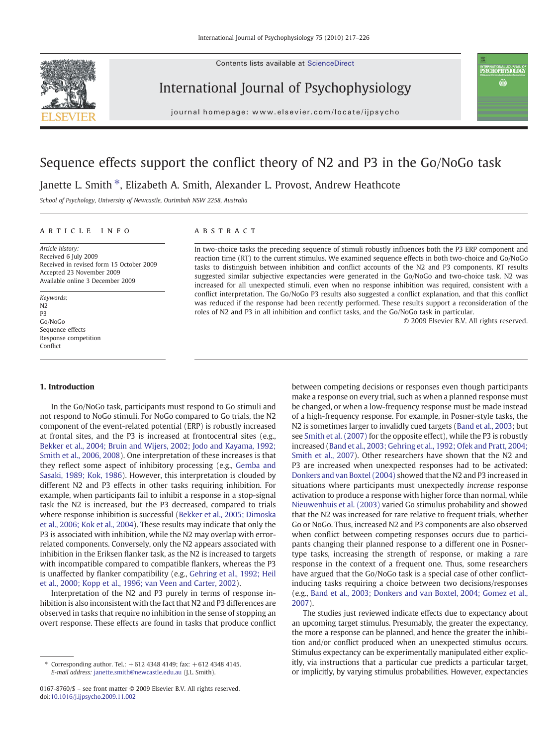Contents lists available at ScienceDirect



# International Journal of Psychophysiology

journal homepage: www.elsevier.com/locate/ijpsycho

# Sequence effects support the conflict theory of N2 and P3 in the Go/NoGo task

Janette L. Smith<sup>\*</sup>, Elizabeth A. Smith, Alexander L. Provost, Andrew Heathcote

School of Psychology, University of Newcastle, Ourimbah NSW 2258, Australia

#### article info abstract

Article history: Received 6 July 2009 Received in revised form 15 October 2009 Accepted 23 November 2009 Available online 3 December 2009

Keywords: N2 P3 Go/NoGo Sequence effects Response competition Conflict

## 1. Introduction

In the Go/NoGo task, participants must respond to Go stimuli and not respond to NoGo stimuli. For NoGo compared to Go trials, the N2 component of the event-related potential (ERP) is robustly increased at frontal sites, and the P3 is increased at frontocentral sites (e.g., [Bekker et al., 2004; Bruin and Wijers, 2002; Jodo and Kayama, 1992;](#page-8-0) [Smith et al., 2006, 2008\)](#page-8-0). One interpretation of these increases is that they reflect some aspect of inhibitory processing (e.g., [Gemba and](#page-8-0) [Sasaki, 1989; Kok, 1986\)](#page-8-0). However, this interpretation is clouded by different N2 and P3 effects in other tasks requiring inhibition. For example, when participants fail to inhibit a response in a stop-signal task the N2 is increased, but the P3 decreased, compared to trials where response inhibition is successful [\(Bekker et al., 2005; Dimoska](#page-8-0) [et al., 2006; Kok et al., 2004\)](#page-8-0). These results may indicate that only the P3 is associated with inhibition, while the N2 may overlap with errorrelated components. Conversely, only the N2 appears associated with inhibition in the Eriksen flanker task, as the N2 is increased to targets with incompatible compared to compatible flankers, whereas the P3 is unaffected by flanker compatibility (e.g., [Gehring et al., 1992; Heil](#page-8-0) [et al., 2000; Kopp et al., 1996; van Veen and Carter, 2002](#page-8-0)).

Interpretation of the N2 and P3 purely in terms of response inhibition is also inconsistent with the fact that N2 and P3 differences are observed in tasks that require no inhibition in the sense of stopping an overt response. These effects are found in tasks that produce conflict

In two-choice tasks the preceding sequence of stimuli robustly influences both the P3 ERP component and reaction time (RT) to the current stimulus. We examined sequence effects in both two-choice and Go/NoGo tasks to distinguish between inhibition and conflict accounts of the N2 and P3 components. RT results suggested similar subjective expectancies were generated in the Go/NoGo and two-choice task. N2 was increased for all unexpected stimuli, even when no response inhibition was required, consistent with a conflict interpretation. The Go/NoGo P3 results also suggested a conflict explanation, and that this conflict was reduced if the response had been recently performed. These results support a reconsideration of the roles of N2 and P3 in all inhibition and conflict tasks, and the Go/NoGo task in particular.

© 2009 Elsevier B.V. All rights reserved.

nternational journal of<br>**PSYCHOPHYSIOLOGY** Ö

between competing decisions or responses even though participants make a response on every trial, such as when a planned response must be changed, or when a low-frequency response must be made instead of a high-frequency response. For example, in Posner-style tasks, the N2 is sometimes larger to invalidly cued targets [\(Band et al., 2003;](#page-8-0) but see [Smith et al. \(2007\)](#page-9-0) for the opposite effect), while the P3 is robustly increased [\(Band et al., 2003; Gehring et al., 1992; Ofek and Pratt, 2004;](#page-8-0) [Smith et al., 2007\)](#page-8-0). Other researchers have shown that the N2 and P3 are increased when unexpected responses had to be activated: [Donkers and van Boxtel \(2004\)](#page-8-0) showed that the N2 and P3 increased in situations where participants must unexpectedly increase response activation to produce a response with higher force than normal, while [Nieuwenhuis et al. \(2003\)](#page-8-0) varied Go stimulus probability and showed that the N2 was increased for rare relative to frequent trials, whether Go or NoGo. Thus, increased N2 and P3 components are also observed when conflict between competing responses occurs due to participants changing their planned response to a different one in Posnertype tasks, increasing the strength of response, or making a rare response in the context of a frequent one. Thus, some researchers have argued that the Go/NoGo task is a special case of other conflictinducing tasks requiring a choice between two decisions/responses (e.g., [Band et al., 2003; Donkers and van Boxtel, 2004; Gomez et al.,](#page-8-0) [2007\)](#page-8-0).

The studies just reviewed indicate effects due to expectancy about an upcoming target stimulus. Presumably, the greater the expectancy, the more a response can be planned, and hence the greater the inhibition and/or conflict produced when an unexpected stimulus occurs. Stimulus expectancy can be experimentally manipulated either explicitly, via instructions that a particular cue predicts a particular target, or implicitly, by varying stimulus probabilities. However, expectancies

<sup>⁎</sup> Corresponding author. Tel.: +612 4348 4149; fax: +612 4348 4145. E-mail address: [janette.smith@newcastle.edu.au](mailto:janette.smith@newcastle.edu.au) (J.L. Smith).

<sup>0167-8760/\$</sup> – see front matter © 2009 Elsevier B.V. All rights reserved. doi:[10.1016/j.ijpsycho.2009.11.002](http://dx.doi.org/10.1016/j.ijpsycho.2009.11.002)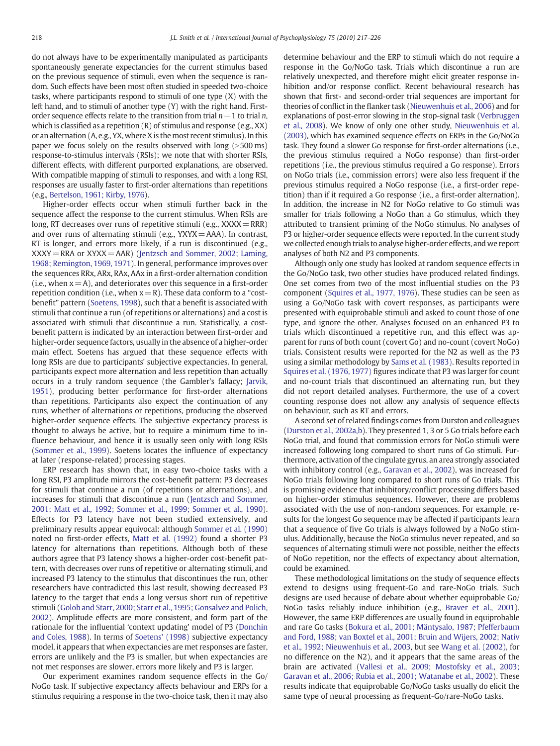do not always have to be experimentally manipulated as participants spontaneously generate expectancies for the current stimulus based on the previous sequence of stimuli, even when the sequence is random. Such effects have been most often studied in speeded two-choice tasks, where participants respond to stimuli of one type (X) with the left hand, and to stimuli of another type (Y) with the right hand. Firstorder sequence effects relate to the transition from trial  $n-1$  to trial n, which is classified as a repetition  $(R)$  of stimulus and response  $(e.g., XX)$ or an alternation (A, e.g., YX, where X is the most recent stimulus). In this paper we focus solely on the results observed with long  $(>500 \text{ ms})$ response-to-stimulus intervals (RSIs); we note that with shorter RSIs, different effects, with different purported explanations, are observed. With compatible mapping of stimuli to responses, and with a long RSI, responses are usually faster to first-order alternations than repetitions (e.g., [Bertelson, 1961; Kirby, 1976\)](#page-8-0).

Higher-order effects occur when stimuli further back in the sequence affect the response to the current stimulus. When RSIs are long, RT decreases over runs of repetitive stimuli (e.g.,  $XXX = RRR$ ) and over runs of alternating stimuli (e.g.,  $YXYX = AAA$ ). In contrast, RT is longer, and errors more likely, if a run is discontinued (e.g., XXXY=RRA or XYXX=AAR) [\(Jentzsch and Sommer, 2002; Laming,](#page-8-0) [1968; Remington, 1969, 1971](#page-8-0)). In general, performance improves over the sequences RRx, ARx, RAx, AAx in a first-order alternation condition (i.e., when  $x = A$ ), and deteriorates over this sequence in a first-order repetition condition (i.e., when  $x=R$ ). These data conform to a "costbenefit" pattern [\(Soetens, 1998](#page-9-0)), such that a benefit is associated with stimuli that continue a run (of repetitions or alternations) and a cost is associated with stimuli that discontinue a run. Statistically, a costbenefit pattern is indicated by an interaction between first-order and higher-order sequence factors, usually in the absence of a higher-order main effect. Soetens has argued that these sequence effects with long RSIs are due to participants' subjective expectancies. In general, participants expect more alternation and less repetition than actually occurs in a truly random sequence (the Gambler's fallacy; [Jarvik,](#page-8-0) [1951](#page-8-0)), producing better performance for first-order alternations than repetitions. Participants also expect the continuation of any runs, whether of alternations or repetitions, producing the observed higher-order sequence effects. The subjective expectancy process is thought to always be active, but to require a minimum time to influence behaviour, and hence it is usually seen only with long RSIs [\(Sommer et al., 1999](#page-9-0)). Soetens locates the influence of expectancy at later (response-related) processing stages.

ERP research has shown that, in easy two-choice tasks with a long RSI, P3 amplitude mirrors the cost-benefit pattern: P3 decreases for stimuli that continue a run (of repetitions or alternations), and increases for stimuli that discontinue a run [\(Jentzsch and Sommer,](#page-8-0) [2001; Matt et al., 1992; Sommer et al., 1999; Sommer et al., 1990](#page-8-0)). Effects for P3 latency have not been studied extensively, and preliminary results appear equivocal: although [Sommer et al. \(1990\)](#page-9-0) noted no first-order effects, [Matt et al. \(1992\)](#page-8-0) found a shorter P3 latency for alternations than repetitions. Although both of these authors agree that P3 latency shows a higher-order cost-benefit pattern, with decreases over runs of repetitive or alternating stimuli, and increased P3 latency to the stimulus that discontinues the run, other researchers have contradicted this last result, showing decreased P3 latency to the target that ends a long versus short run of repetitive stimuli [\(Golob and Starr, 2000; Starr et al., 1995; Gonsalvez and Polich,](#page-8-0) [2002\)](#page-8-0). Amplitude effects are more consistent, and form part of the rationale for the influential 'context updating' model of P3 [\(Donchin](#page-8-0) [and Coles, 1988](#page-8-0)). In terms of [Soetens' \(1998\)](#page-9-0) subjective expectancy model, it appears that when expectancies are met responses are faster, errors are unlikely and the P3 is smaller, but when expectancies are not met responses are slower, errors more likely and P3 is larger.

Our experiment examines random sequence effects in the Go/ NoGo task. If subjective expectancy affects behaviour and ERPs for a stimulus requiring a response in the two-choice task, then it may also determine behaviour and the ERP to stimuli which do not require a response in the Go/NoGo task. Trials which discontinue a run are relatively unexpected, and therefore might elicit greater response inhibition and/or response conflict. Recent behavioural research has shown that first- and second-order trial sequences are important for theories of conflict in the flanker task [\(Nieuwenhuis et al., 2006\)](#page-8-0) and for explanations of post-error slowing in the stop-signal task [\(Verbruggen](#page-9-0) [et al., 2008\)](#page-9-0). We know of only one other study, [Nieuwenhuis et al.](#page-8-0) [\(2003\)](#page-8-0), which has examined sequence effects on ERPs in the Go/NoGo task. They found a slower Go response for first-order alternations (i.e., the previous stimulus required a NoGo response) than first-order repetitions (i.e., the previous stimulus required a Go response). Errors on NoGo trials (i.e., commission errors) were also less frequent if the previous stimulus required a NoGo response (i.e., a first-order repetition) than if it required a Go response (i.e., a first-order alternation). In addition, the increase in N2 for NoGo relative to Go stimuli was smaller for trials following a NoGo than a Go stimulus, which they attributed to transient priming of the NoGo stimulus. No analyses of P3 or higher-order sequence effects were reported. In the current study we collected enough trials to analyse higher-order effects, and we report analyses of both N2 and P3 components.

Although only one study has looked at random sequence effects in the Go/NoGo task, two other studies have produced related findings. One set comes from two of the most influential studies on the P3 component [\(Squires et al., 1977, 1976\)](#page-9-0). These studies can be seen as using a Go/NoGo task with covert responses, as participants were presented with equiprobable stimuli and asked to count those of one type, and ignore the other. Analyses focused on an enhanced P3 to trials which discontinued a repetitive run, and this effect was apparent for runs of both count (covert Go) and no-count (covert NoGo) trials. Consistent results were reported for the N2 as well as the P3 using a similar methodology by [Sams et al. \(1983\)](#page-9-0). Results reported in [Squires et al. \(1976, 1977\)](#page-9-0) figures indicate that P3 was larger for count and no-count trials that discontinued an alternating run, but they did not report detailed analyses. Furthermore, the use of a covert counting response does not allow any analysis of sequence effects on behaviour, such as RT and errors.

A second set of related findings comes from Durston and colleagues [\(Durston et al., 2002a,b](#page-8-0)). They presented 1, 3 or 5 Go trials before each NoGo trial, and found that commission errors for NoGo stimuli were increased following long compared to short runs of Go stimuli. Furthermore, activation of the cingulate gyrus, an area strongly associated with inhibitory control (e.g., [Garavan et al., 2002\)](#page-8-0), was increased for NoGo trials following long compared to short runs of Go trials. This is promising evidence that inhibitory/conflict processing differs based on higher-order stimulus sequences. However, there are problems associated with the use of non-random sequences. For example, results for the longest Go sequence may be affected if participants learn that a sequence of five Go trials is always followed by a NoGo stimulus. Additionally, because the NoGo stimulus never repeated, and so sequences of alternating stimuli were not possible, neither the effects of NoGo repetition, nor the effects of expectancy about alternation, could be examined.

These methodological limitations on the study of sequence effects extend to designs using frequent-Go and rare-NoGo trials. Such designs are used because of debate about whether equiprobable Go/ NoGo tasks reliably induce inhibition (e.g., [Braver et al., 2001](#page-8-0)). However, the same ERP differences are usually found in equiprobable and rare Go tasks ([Bokura et al., 2001; Mäntysalo, 1987; Pfefferbaum](#page-8-0) [and Ford, 1988; van Boxtel et al., 2001; Bruin and Wijers, 2002; Nativ](#page-8-0) [et al., 1992; Nieuwenhuis et al., 2003,](#page-8-0) but see [Wang et al. \(2002\)](#page-9-0), for no difference on the N2), and it appears that the same areas of the brain are activated ([Vallesi et al., 2009; Mostofsky et al., 2003;](#page-9-0) [Garavan et al., 2006; Rubia et al., 2001; Watanabe et al., 2002](#page-9-0)). These results indicate that equiprobable Go/NoGo tasks usually do elicit the same type of neural processing as frequent-Go/rare-NoGo tasks.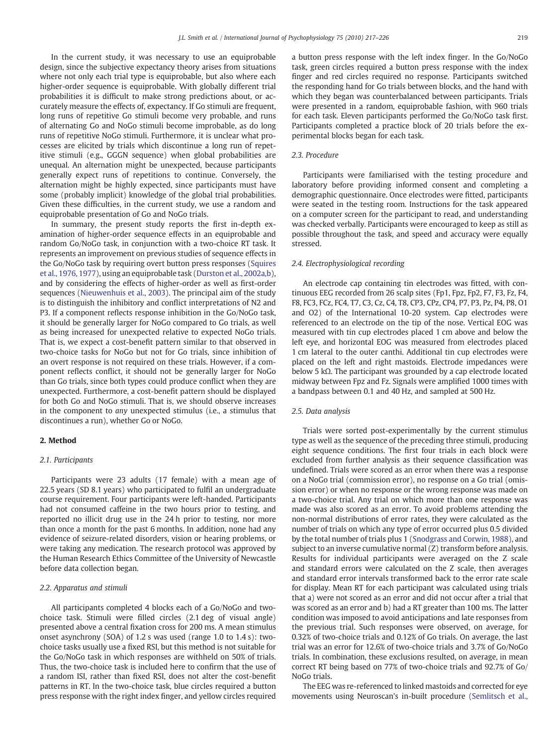In the current study, it was necessary to use an equiprobable design, since the subjective expectancy theory arises from situations where not only each trial type is equiprobable, but also where each higher-order sequence is equiprobable. With globally different trial probabilities it is difficult to make strong predictions about, or accurately measure the effects of, expectancy. If Go stimuli are frequent, long runs of repetitive Go stimuli become very probable, and runs of alternating Go and NoGo stimuli become improbable, as do long runs of repetitive NoGo stimuli. Furthermore, it is unclear what processes are elicited by trials which discontinue a long run of repetitive stimuli (e.g., GGGN sequence) when global probabilities are unequal. An alternation might be unexpected, because participants generally expect runs of repetitions to continue. Conversely, the alternation might be highly expected, since participants must have some (probably implicit) knowledge of the global trial probabilities. Given these difficulties, in the current study, we use a random and equiprobable presentation of Go and NoGo trials.

In summary, the present study reports the first in-depth examination of higher-order sequence effects in an equiprobable and random Go/NoGo task, in conjunction with a two-choice RT task. It represents an improvement on previous studies of sequence effects in the Go/NoGo task by requiring overt button press responses ([Squires](#page-9-0) [et al., 1976, 1977](#page-9-0)), using an equiprobable task [\(Durston et al., 2002a,b](#page-8-0)), and by considering the effects of higher-order as well as first-order sequences ([Nieuwenhuis et al., 2003\)](#page-8-0). The principal aim of the study is to distinguish the inhibitory and conflict interpretations of N2 and P3. If a component reflects response inhibition in the Go/NoGo task, it should be generally larger for NoGo compared to Go trials, as well as being increased for unexpected relative to expected NoGo trials. That is, we expect a cost-benefit pattern similar to that observed in two-choice tasks for NoGo but not for Go trials, since inhibition of an overt response is not required on these trials. However, if a component reflects conflict, it should not be generally larger for NoGo than Go trials, since both types could produce conflict when they are unexpected. Furthermore, a cost-benefit pattern should be displayed for both Go and NoGo stimuli. That is, we should observe increases in the component to any unexpected stimulus (i.e., a stimulus that discontinues a run), whether Go or NoGo.

#### 2. Method

## 2.1. Participants

Participants were 23 adults (17 female) with a mean age of 22.5 years (SD 8.1 years) who participated to fulfil an undergraduate course requirement. Four participants were left-handed. Participants had not consumed caffeine in the two hours prior to testing, and reported no illicit drug use in the 24 h prior to testing, nor more than once a month for the past 6 months. In addition, none had any evidence of seizure-related disorders, vision or hearing problems, or were taking any medication. The research protocol was approved by the Human Research Ethics Committee of the University of Newcastle before data collection began.

#### 2.2. Apparatus and stimuli

All participants completed 4 blocks each of a Go/NoGo and twochoice task. Stimuli were filled circles (2.1 deg of visual angle) presented above a central fixation cross for 200 ms. A mean stimulus onset asynchrony (SOA) of 1.2 s was used (range 1.0 to 1.4 s): twochoice tasks usually use a fixed RSI, but this method is not suitable for the Go/NoGo task in which responses are withheld on 50% of trials. Thus, the two-choice task is included here to confirm that the use of a random ISI, rather than fixed RSI, does not alter the cost-benefit patterns in RT. In the two-choice task, blue circles required a button press response with the right index finger, and yellow circles required

a button press response with the left index finger. In the Go/NoGo task, green circles required a button press response with the index finger and red circles required no response. Participants switched the responding hand for Go trials between blocks, and the hand with which they began was counterbalanced between participants. Trials were presented in a random, equiprobable fashion, with 960 trials for each task. Eleven participants performed the Go/NoGo task first. Participants completed a practice block of 20 trials before the experimental blocks began for each task.

#### 2.3. Procedure

Participants were familiarised with the testing procedure and laboratory before providing informed consent and completing a demographic questionnaire. Once electrodes were fitted, participants were seated in the testing room. Instructions for the task appeared on a computer screen for the participant to read, and understanding was checked verbally. Participants were encouraged to keep as still as possible throughout the task, and speed and accuracy were equally stressed.

#### 2.4. Electrophysiological recording

An electrode cap containing tin electrodes was fitted, with continuous EEG recorded from 26 scalp sites (Fp1, Fpz, Fp2, F7, F3, Fz, F4, F8, FC3, FCz, FC4, T7, C3, Cz, C4, T8, CP3, CPz, CP4, P7, P3, Pz, P4, P8, O1 and O2) of the International 10-20 system. Cap electrodes were referenced to an electrode on the tip of the nose. Vertical EOG was measured with tin cup electrodes placed 1 cm above and below the left eye, and horizontal EOG was measured from electrodes placed 1 cm lateral to the outer canthi. Additional tin cup electrodes were placed on the left and right mastoids. Electrode impedances were below 5 kΩ. The participant was grounded by a cap electrode located midway between Fpz and Fz. Signals were amplified 1000 times with a bandpass between 0.1 and 40 Hz, and sampled at 500 Hz.

#### 2.5. Data analysis

Trials were sorted post-experimentally by the current stimulus type as well as the sequence of the preceding three stimuli, producing eight sequence conditions. The first four trials in each block were excluded from further analysis as their sequence classification was undefined. Trials were scored as an error when there was a response on a NoGo trial (commission error), no response on a Go trial (omission error) or when no response or the wrong response was made on a two-choice trial. Any trial on which more than one response was made was also scored as an error. To avoid problems attending the non-normal distributions of error rates, they were calculated as the number of trials on which any type of error occurred plus 0.5 divided by the total number of trials plus 1 [\(Snodgrass and Corwin, 1988\)](#page-9-0), and subject to an inverse cumulative normal (Z) transform before analysis. Results for individual participants were averaged on the Z scale and standard errors were calculated on the Z scale, then averages and standard error intervals transformed back to the error rate scale for display. Mean RT for each participant was calculated using trials that a) were not scored as an error and did not occur after a trial that was scored as an error and b) had a RT greater than 100 ms. The latter condition was imposed to avoid anticipations and late responses from the previous trial. Such responses were observed, on average, for 0.32% of two-choice trials and 0.12% of Go trials. On average, the last trial was an error for 12.6% of two-choice trials and 3.7% of Go/NoGo trials. In combination, these exclusions resulted, on average, in mean correct RT being based on 77% of two-choice trials and 92.7% of Go/ NoGo trials.

The EEG was re-referenced to linked mastoids and corrected for eye movements using Neuroscan's in-built procedure [\(Semlitsch et al.,](#page-9-0)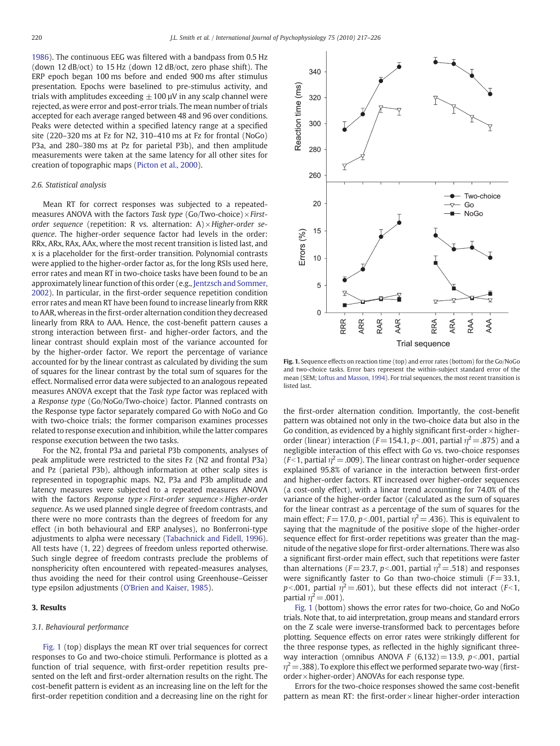[1986\)](#page-9-0). The continuous EEG was filtered with a bandpass from 0.5 Hz (down 12 dB/oct) to 15 Hz (down 12 dB/oct, zero phase shift). The ERP epoch began 100 ms before and ended 900 ms after stimulus presentation. Epochs were baselined to pre-stimulus activity, and trials with amplitudes exceeding  $\pm$  100  $\mu$ V in any scalp channel were rejected, as were error and post-error trials. The mean number of trials accepted for each average ranged between 48 and 96 over conditions. Peaks were detected within a specified latency range at a specified site (220–320 ms at Fz for N2, 310–410 ms at Fz for frontal (NoGo) P3a, and 280–380 ms at Pz for parietal P3b), and then amplitude measurements were taken at the same latency for all other sites for creation of topographic maps ([Picton et al., 2000](#page-8-0)).

## 2.6. Statistical analysis

Mean RT for correct responses was subjected to a repeatedmeasures ANOVA with the factors Task type (Go/Two-choice) $\times$ Firstorder sequence (repetition: R vs. alternation: A) $\times$ Higher-order sequence. The higher-order sequence factor had levels in the order: RRx, ARx, RAx, AAx, where the most recent transition is listed last, and x is a placeholder for the first-order transition. Polynomial contrasts were applied to the higher-order factor as, for the long RSIs used here, error rates and mean RT in two-choice tasks have been found to be an approximately linear function of this order (e.g., [Jentzsch and Sommer,](#page-8-0) [2002\)](#page-8-0). In particular, in the first-order sequence repetition condition error rates and mean RT have been found to increase linearly from RRR to AAR, whereas in the first-order alternation condition they decreased linearly from RRA to AAA. Hence, the cost-benefit pattern causes a strong interaction between first- and higher-order factors, and the linear contrast should explain most of the variance accounted for by the higher-order factor. We report the percentage of variance accounted for by the linear contrast as calculated by dividing the sum of squares for the linear contrast by the total sum of squares for the effect. Normalised error data were subjected to an analogous repeated measures ANOVA except that the Task type factor was replaced with a Response type (Go/NoGo/Two-choice) factor. Planned contrasts on the Response type factor separately compared Go with NoGo and Go with two-choice trials; the former comparison examines processes related to response execution and inhibition, while the latter compares response execution between the two tasks.

For the N2, frontal P3a and parietal P3b components, analyses of peak amplitude were restricted to the sites Fz (N2 and frontal P3a) and Pz (parietal P3b), although information at other scalp sites is represented in topographic maps. N2, P3a and P3b amplitude and latency measures were subjected to a repeated measures ANOVA with the factors Response type $\times$ First-order sequence $\times$ Higher-order sequence. As we used planned single degree of freedom contrasts, and there were no more contrasts than the degrees of freedom for any effect (in both behavioural and ERP analyses), no Bonferroni-type adjustments to alpha were necessary ([Tabachnick and Fidell, 1996](#page-9-0)). All tests have (1, 22) degrees of freedom unless reported otherwise. Such single degree of freedom contrasts preclude the problems of nonsphericity often encountered with repeated-measures analyses, thus avoiding the need for their control using Greenhouse–Geisser type epsilon adjustments ([O'Brien and Kaiser, 1985](#page-8-0)).

## 3. Results

#### 3.1. Behavioural performance

Fig. 1 (top) displays the mean RT over trial sequences for correct responses to Go and two-choice stimuli. Performance is plotted as a function of trial sequence, with first-order repetition results presented on the left and first-order alternation results on the right. The cost-benefit pattern is evident as an increasing line on the left for the first-order repetition condition and a decreasing line on the right for



Fig. 1. Sequence effects on reaction time (top) and error rates (bottom) for the Go/NoGo and two-choice tasks. Error bars represent the within-subject standard error of the mean (SEM; [Loftus and Masson, 1994\)](#page-8-0). For trial sequences, the most recent transition is listed last.

the first-order alternation condition. Importantly, the cost-benefit pattern was obtained not only in the two-choice data but also in the Go condition, as evidenced by a highly significant first-order  $\times$  higherorder (linear) interaction ( $F= 154.1$ ,  $p<0.001$ , partial  $\eta^2=.875$ ) and a negligible interaction of this effect with Go vs. two-choice responses  $(F<1$ , partial  $\eta^2 = .009$ ). The linear contrast on higher-order sequence explained 95.8% of variance in the interaction between first-order and higher-order factors. RT increased over higher-order sequences (a cost-only effect), with a linear trend accounting for 74.0% of the variance of the higher-order factor (calculated as the sum of squares for the linear contrast as a percentage of the sum of squares for the main effect;  $F = 17.0$ ,  $p < .001$ , partial  $\eta^2 = .436$ ). This is equivalent to saying that the magnitude of the positive slope of the higher-order sequence effect for first-order repetitions was greater than the magnitude of the negative slope for first-order alternations. There was also a significant first-order main effect, such that repetitions were faster than alternations ( $F = 23.7$ ,  $p< .001$ , partial  $\eta^2 = .518$ ) and responses were significantly faster to Go than two-choice stimuli  $(F= 33.1,$ p<.001, partial  $\eta^2$  = .601), but these effects did not interact (F<1, partial  $\eta^2$  = .001).

Fig. 1 (bottom) shows the error rates for two-choice, Go and NoGo trials. Note that, to aid interpretation, group means and standard errors on the Z scale were inverse-transformed back to percentages before plotting. Sequence effects on error rates were strikingly different for the three response types, as reflected in the highly significant threeway interaction (omnibus ANOVA F  $(6,132)=13.9$ , p<.001, partial  $\eta^2$  = .388). To explore this effect we performed separate two-way (firstorder $\times$ higher-order) ANOVAs for each response type.

Errors for the two-choice responses showed the same cost-benefit pattern as mean RT: the first-order $\times$ linear higher-order interaction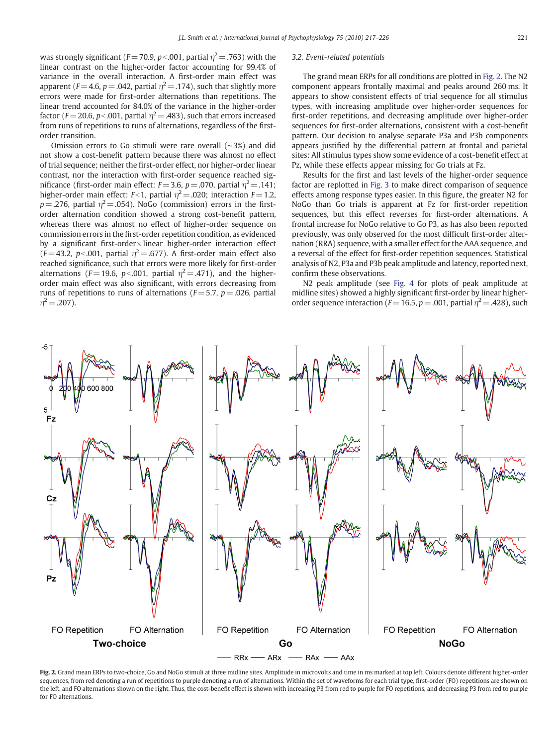was strongly significant ( $F= 70.9$ ,  $p< .001$ , partial  $\eta^2 = .763$ ) with the linear contrast on the higher-order factor accounting for 99.4% of variance in the overall interaction. A first-order main effect was apparent ( $F = 4.6$ ,  $p = .042$ , partial  $\eta^2 = .174$ ), such that slightly more errors were made for first-order alternations than repetitions. The linear trend accounted for 84.0% of the variance in the higher-order factor ( $F = 20.6$ ,  $p < .001$ , partial  $\eta^2 = .483$ ), such that errors increased from runs of repetitions to runs of alternations, regardless of the firstorder transition.

Omission errors to Go stimuli were rare overall (∼3%) and did not show a cost-benefit pattern because there was almost no effect of trial sequence; neither the first-order effect, nor higher-order linear contrast, nor the interaction with first-order sequence reached significance (first-order main effect:  $F = 3.6$ ,  $p = .070$ , partial  $\eta^2 = .141$ ; higher-order main effect:  $F<1$ , partial  $\eta^2 = .020$ ; interaction  $F = 1.2$ ,  $p = 0.276$ , partial  $\eta^2 = 0.054$ ). NoGo (commission) errors in the firstorder alternation condition showed a strong cost-benefit pattern, whereas there was almost no effect of higher-order sequence on commission errors in the first-order repetition condition, as evidenced by a significant first-order $\times$ linear higher-order interaction effect  $(F= 43.2, p< .001,$  partial  $\eta^2 = .677$ ). A first-order main effect also reached significance, such that errors were more likely for first-order alternations ( $F = 19.6$ ,  $p< .001$ , partial  $\eta^2 = .471$ ), and the higherorder main effect was also significant, with errors decreasing from runs of repetitions to runs of alternations ( $F=$  5.7,  $p=$  .026, partial  $\eta^2 = .207$ ).

#### 3.2. Event-related potentials

The grand mean ERPs for all conditions are plotted in Fig. 2. The N2 component appears frontally maximal and peaks around 260 ms. It appears to show consistent effects of trial sequence for all stimulus types, with increasing amplitude over higher-order sequences for first-order repetitions, and decreasing amplitude over higher-order sequences for first-order alternations, consistent with a cost-benefit pattern. Our decision to analyse separate P3a and P3b components appears justified by the differential pattern at frontal and parietal sites: All stimulus types show some evidence of a cost-benefit effect at Pz, while these effects appear missing for Go trials at Fz.

Results for the first and last levels of the higher-order sequence factor are replotted in [Fig. 3](#page-5-0) to make direct comparison of sequence effects among response types easier. In this figure, the greater N2 for NoGo than Go trials is apparent at Fz for first-order repetition sequences, but this effect reverses for first-order alternations. A frontal increase for NoGo relative to Go P3, as has also been reported previously, was only observed for the most difficult first-order alternation (RRA) sequence, with a smaller effect for the AAA sequence, and a reversal of the effect for first-order repetition sequences. Statistical analysis of N2, P3a and P3b peak amplitude and latency, reported next, confirm these observations.

N2 peak amplitude (see [Fig. 4](#page-5-0) for plots of peak amplitude at midline sites) showed a highly significant first-order by linear higherorder sequence interaction ( $F= 16.5$ ,  $p=.001$ , partial  $\eta^2=.428$ ), such



Fig. 2. Grand mean ERPs to two-choice, Go and NoGo stimuli at three midline sites. Amplitude in microvolts and time in ms marked at top left. Colours denote different higher-order sequences, from red denoting a run of repetitions to purple denoting a run of alternations. Within the set of waveforms for each trial type, first-order (FO) repetitions are shown on the left, and FO alternations shown on the right. Thus, the cost-benefit effect is shown with increasing P3 from red to purple for FO repetitions, and decreasing P3 from red to purple for FO alternations.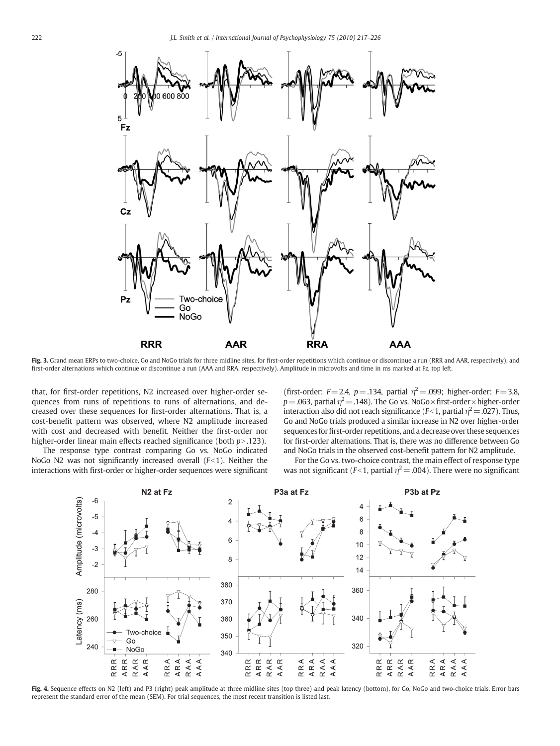<span id="page-5-0"></span>

Fig. 3. Grand mean ERPs to two-choice, Go and NoGo trials for three midline sites, for first-order repetitions which continue or discontinue a run (RRR and AAR, respectively), and first-order alternations which continue or discontinue a run (AAA and RRA, respectively). Amplitude in microvolts and time in ms marked at Fz, top left.

that, for first-order repetitions, N2 increased over higher-order sequences from runs of repetitions to runs of alternations, and decreased over these sequences for first-order alternations. That is, a cost-benefit pattern was observed, where N2 amplitude increased with cost and decreased with benefit. Neither the first-order nor higher-order linear main effects reached significance (both  $p$  > .123).

The response type contrast comparing Go vs. NoGo indicated NoGo N2 was not significantly increased overall  $(F<1)$ . Neither the interactions with first-order or higher-order sequences were significant

(first-order:  $F=2.4$ ,  $p=.134$ , partial  $\eta^2=.099$ ; higher-order:  $F=3.8$ ,  $p = .063$ , partial  $\eta^2 = .148$ ). The Go vs. NoGo × first-order × higher-order interaction also did not reach significance ( $F<1$ , partial  $\eta^2$  = .027). Thus, Go and NoGo trials produced a similar increase in N2 over higher-order sequences for first-order repetitions, and a decrease over these sequences for first-order alternations. That is, there was no difference between Go and NoGo trials in the observed cost-benefit pattern for N2 amplitude.

For the Go vs. two-choice contrast, the main effect of response type was not significant (F<1, partial  $\eta^2$  = .004). There were no significant



Fig. 4. Sequence effects on N2 (left) and P3 (right) peak amplitude at three midline sites (top three) and peak latency (bottom), for Go, NoGo and two-choice trials. Error bars represent the standard error of the mean (SEM). For trial sequences, the most recent transition is listed last.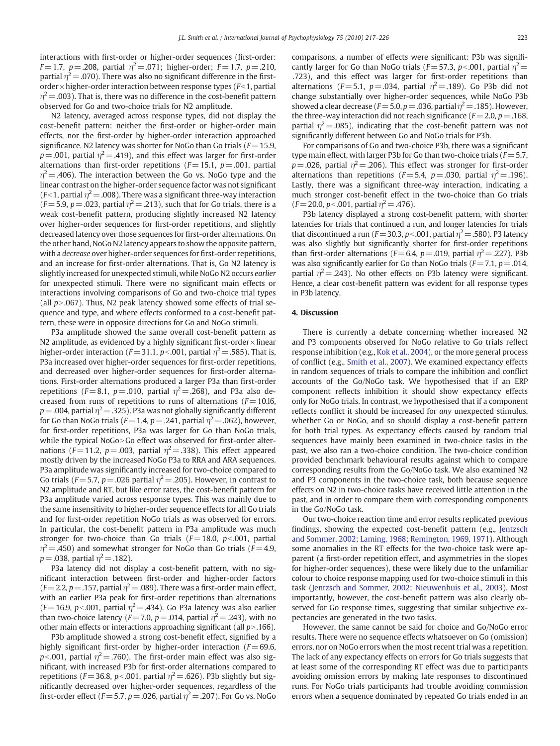interactions with first-order or higher-order sequences (first-order:  $F= 1.7$ ,  $p=.208$ , partial  $\eta^2=.071$ ; higher-order;  $F= 1.7$ ,  $p=.210$ , partial  $\eta^2$  = .070). There was also no significant difference in the firstorder  $\times$  higher-order interaction between response types ( $F$ <1, partial  $\eta^2$  = .003). That is, there was no difference in the cost-benefit pattern observed for Go and two-choice trials for N2 amplitude.

N2 latency, averaged across response types, did not display the cost-benefit pattern: neither the first-order or higher-order main effects, nor the first-order by higher-order interaction approached significance. N2 latency was shorter for NoGo than Go trials ( $F= 15.9$ ,  $p = .001$ , partial  $\eta^2 = .419$ ), and this effect was larger for first-order alternations than first-order repetitions ( $F= 15.1$ ,  $p=.001$ , partial  $\eta^2$  = .406). The interaction between the Go vs. NoGo type and the linear contrast on the higher-order sequence factor was not significant  $(F<1$ , partial  $\eta^2 = .008$ ). There was a significant three-way interaction  $(F= 5.9, p=.023$ , partial  $\eta^2=.213$ ), such that for Go trials, there is a weak cost-benefit pattern, producing slightly increased N2 latency over higher-order sequences for first-order repetitions, and slightly decreased latency over those sequences for first-order alternations. On the other hand, NoGo N2 latency appears to show the opposite pattern, with a decrease over higher-order sequences for first-order repetitions, and an increase for first-order alternations. That is, Go N2 latency is slightly increased for unexpected stimuli, while NoGo N2 occurs earlier for unexpected stimuli. There were no significant main effects or interactions involving comparisons of Go and two-choice trial types (all  $p > .067$ ). Thus, N2 peak latency showed some effects of trial sequence and type, and where effects conformed to a cost-benefit pattern, these were in opposite directions for Go and NoGo stimuli.

P3a amplitude showed the same overall cost-benefit pattern as N2 amplitude, as evidenced by a highly significant first-order $\times$ linear higher-order interaction ( $F= 31.1$ ,  $p< .001$ , partial  $\eta^2 = .585$ ). That is, P3a increased over higher-order sequences for first-order repetitions, and decreased over higher-order sequences for first-order alternations. First-order alternations produced a larger P3a than first-order repetitions ( $F= 8.1$ ,  $p=.010$ , partial  $\eta^2=.268$ ), and P3a also decreased from runs of repetitions to runs of alternations ( $F= 10.16$ ,  $p = .004$ , partial  $\eta^2 = .325$ ). P3a was not globally significantly different for Go than NoGo trials ( $F = 1.4$ ,  $p = .241$ , partial  $\eta^2 = .062$ ), however, for first-order repetitions, P3a was larger for Go than NoGo trials, while the typical  $NoGo > Go$  effect was observed for first-order alternations (F = 11.2, p = .003, partial  $\eta^2$  = .338). This effect appeared mostly driven by the increased NoGo P3a to RRA and ARA sequences. P3a amplitude was significantly increased for two-choice compared to Go trials ( $F = 5.7$ ,  $p = .026$  partial  $\eta^2 = .205$ ). However, in contrast to N2 amplitude and RT, but like error rates, the cost-benefit pattern for P3a amplitude varied across response types. This was mainly due to the same insensitivity to higher-order sequence effects for all Go trials and for first-order repetition NoGo trials as was observed for errors. In particular, the cost-benefit pattern in P3a amplitude was much stronger for two-choice than Go trials ( $F= 18.0$ ,  $p< .001$ , partial  $\eta^2$  = .450) and somewhat stronger for NoGo than Go trials (F = 4.9,  $p = .038$ , partial  $\eta^2 = .182$ ).

P3a latency did not display a cost-benefit pattern, with no significant interaction between first-order and higher-order factors  $(F=2.2, p=.157$ , partial  $\eta^2=.089$ ). There was a first-order main effect, with an earlier P3a peak for first-order repetitions than alternations  $(F=16.9, p<.001,$  partial  $\eta^2=.434$ ). Go P3a latency was also earlier than two-choice latency ( $F=7.0$ ,  $p=.014$ , partial  $\eta^2=.243$ ), with no other main effects or interactions approaching significant (all  $p$  > .166).

P3b amplitude showed a strong cost-benefit effect, signified by a highly significant first-order by higher-order interaction ( $F= 69.6$ ,  $p<$ .001, partial  $\eta^2$  = .760). The first-order main effect was also significant, with increased P3b for first-order alternations compared to repetitions ( $F = 36.8$ ,  $p < .001$ , partial  $\eta^2 = .626$ ). P3b slightly but significantly decreased over higher-order sequences, regardless of the first-order effect ( $F = 5.7$ ,  $p = .026$ , partial  $\eta^2 = .207$ ). For Go vs. NoGo comparisons, a number of effects were significant: P3b was significantly larger for Go than NoGo trials ( $F=$  57.3, p<.001, partial  $\eta^2=$ .723), and this effect was larger for first-order repetitions than alternations ( $F = 5.1$ ,  $p = .034$ , partial  $\eta^2 = .189$ ). Go P3b did not change substantially over higher-order sequences, while NoGo P3b showed a clear decrease ( $F= 5.0, p=.036$ , partial  $\eta^2=.185$ ). However, the three-way interaction did not reach significance ( $F = 2.0$ ,  $p = .168$ , partial  $\eta^2$  = .085), indicating that the cost-benefit pattern was not significantly different between Go and NoGo trials for P3b.

For comparisons of Go and two-choice P3b, there was a significant type main effect, with larger P3b for Go than two-choice trials ( $F= 5.7$ ,  $p = .026$ , partial  $\eta^2 = .206$ ). This effect was stronger for first-order alternations than repetitions ( $F = 5.4$ ,  $p = .030$ , partial  $\eta^2 = .196$ ). Lastly, there was a significant three-way interaction, indicating a much stronger cost-benefit effect in the two-choice than Go trials  $(F= 20.0, p< .001,$  partial  $\eta^2 = .476$ ).

P3b latency displayed a strong cost-benefit pattern, with shorter latencies for trials that continued a run, and longer latencies for trials that discontinued a run ( $F=30.3$ ,  $p<0.01$ , partial  $\eta^2=.580$ ). P3 latency was also slightly but significantly shorter for first-order repetitions than first-order alternations ( $F=6.4$ ,  $p=.019$ , partial  $\eta^2=.227$ ). P3b was also significantly earlier for Go than NoGo trials ( $F=7.1$ ,  $p=.014$ , partial  $\eta^2$  = .243). No other effects on P3b latency were significant. Hence, a clear cost-benefit pattern was evident for all response types in P3b latency.

#### 4. Discussion

There is currently a debate concerning whether increased N2 and P3 components observed for NoGo relative to Go trials reflect response inhibition (e.g., [Kok et al., 2004](#page-8-0)), or the more general process of conflict (e.g., [Smith et al., 2007\)](#page-9-0). We examined expectancy effects in random sequences of trials to compare the inhibition and conflict accounts of the Go/NoGo task. We hypothesised that if an ERP component reflects inhibition it should show expectancy effects only for NoGo trials. In contrast, we hypothesised that if a component reflects conflict it should be increased for any unexpected stimulus, whether Go or NoGo, and so should display a cost-benefit pattern for both trial types. As expectancy effects caused by random trial sequences have mainly been examined in two-choice tasks in the past, we also ran a two-choice condition. The two-choice condition provided benchmark behavioural results against which to compare corresponding results from the Go/NoGo task. We also examined N2 and P3 components in the two-choice task, both because sequence effects on N2 in two-choice tasks have received little attention in the past, and in order to compare them with corresponding components in the Go/NoGo task.

Our two-choice reaction time and error results replicated previous findings, showing the expected cost-benefit pattern (e.g., [Jentzsch](#page-8-0) [and Sommer, 2002; Laming, 1968; Remington, 1969, 1971\)](#page-8-0). Although some anomalies in the RT effects for the two-choice task were apparent (a first-order repetition effect, and asymmetries in the slopes for higher-order sequences), these were likely due to the unfamiliar colour to choice response mapping used for two-choice stimuli in this task [\(Jentzsch and Sommer, 2002; Nieuwenhuis et al., 2003\)](#page-8-0). Most importantly, however, the cost-benefit pattern was also clearly observed for Go response times, suggesting that similar subjective expectancies are generated in the two tasks.

However, the same cannot be said for choice and Go/NoGo error results. There were no sequence effects whatsoever on Go (omission) errors, nor on NoGo errors when the most recent trial was a repetition. The lack of any expectancy effects on errors for Go trials suggests that at least some of the corresponding RT effect was due to participants avoiding omission errors by making late responses to discontinued runs. For NoGo trials participants had trouble avoiding commission errors when a sequence dominated by repeated Go trials ended in an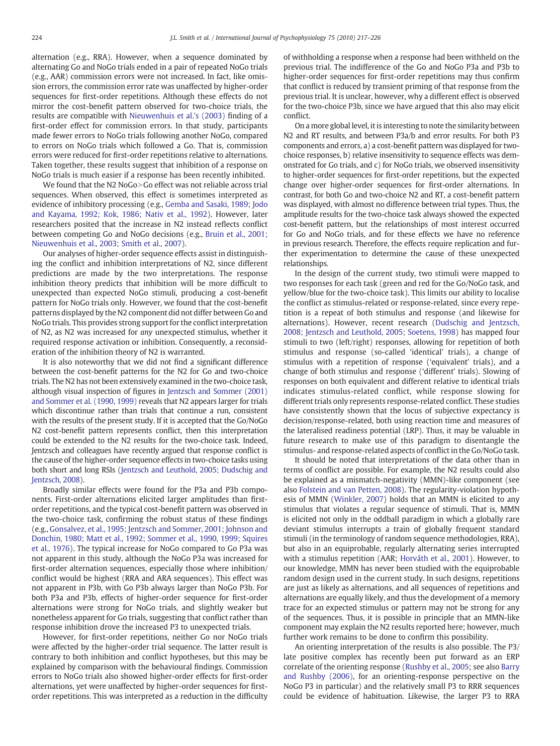alternation (e.g., RRA). However, when a sequence dominated by alternating Go and NoGo trials ended in a pair of repeated NoGo trials (e.g., AAR) commission errors were not increased. In fact, like omission errors, the commission error rate was unaffected by higher-order sequences for first-order repetitions. Although these effects do not mirror the cost-benefit pattern observed for two-choice trials, the results are compatible with [Nieuwenhuis et al.'s \(2003\)](#page-8-0) finding of a first-order effect for commission errors. In that study, participants made fewer errors to NoGo trials following another NoGo, compared to errors on NoGo trials which followed a Go. That is, commission errors were reduced for first-order repetitions relative to alternations. Taken together, these results suggest that inhibition of a response on NoGo trials is much easier if a response has been recently inhibited.

We found that the N2 NoGo > Go effect was not reliable across trial sequences. When observed, this effect is sometimes interpreted as evidence of inhibitory processing (e.g., [Gemba and Sasaki, 1989; Jodo](#page-8-0) [and Kayama, 1992; Kok, 1986; Nativ et al., 1992\)](#page-8-0). However, later researchers posited that the increase in N2 instead reflects conflict between competing Go and NoGo decisions (e.g., [Bruin et al., 2001;](#page-8-0) [Nieuwenhuis et al., 2003; Smith et al., 2007](#page-8-0)).

Our analyses of higher-order sequence effects assist in distinguishing the conflict and inhibition interpretations of N2, since different predictions are made by the two interpretations. The response inhibition theory predicts that inhibition will be more difficult to unexpected than expected NoGo stimuli, producing a cost-benefit pattern for NoGo trials only. However, we found that the cost-benefit patterns displayed by the N2 component did not differ between Go and NoGo trials. This provides strong support for the conflict interpretation of N2, as N2 was increased for any unexpected stimulus, whether it required response activation or inhibition. Consequently, a reconsideration of the inhibition theory of N2 is warranted.

It is also noteworthy that we did not find a significant difference between the cost-benefit patterns for the N2 for Go and two-choice trials. The N2 has not been extensively examined in the two-choice task, although visual inspection of figures in [Jentzsch and Sommer \(2001\)](#page-8-0) [and Sommer et al. \(1990, 1999\)](#page-8-0) reveals that N2 appears larger for trials which discontinue rather than trials that continue a run, consistent with the results of the present study. If it is accepted that the Go/NoGo N2 cost-benefit pattern represents conflict, then this interpretation could be extended to the N2 results for the two-choice task. Indeed, Jentzsch and colleagues have recently argued that response conflict is the cause of the higher-order sequence effects in two-choice tasks using both short and long RSIs ([Jentzsch and Leuthold, 2005; Dudschig and](#page-8-0) [Jentzsch, 2008\)](#page-8-0).

Broadly similar effects were found for the P3a and P3b components. First-order alternations elicited larger amplitudes than firstorder repetitions, and the typical cost-benefit pattern was observed in the two-choice task, confirming the robust status of these findings (e.g., [Gonsalvez, et al., 1995; Jentzsch and Sommer, 2001; Johnson and](#page-8-0) [Donchin, 1980; Matt et al., 1992; Sommer et al., 1990, 1999; Squires](#page-8-0) [et al., 1976](#page-8-0)). The typical increase for NoGo compared to Go P3a was not apparent in this study, although the NoGo P3a was increased for first-order alternation sequences, especially those where inhibition/ conflict would be highest (RRA and ARA sequences). This effect was not apparent in P3b, with Go P3b always larger than NoGo P3b. For both P3a and P3b, effects of higher-order sequence for first-order alternations were strong for NoGo trials, and slightly weaker but nonetheless apparent for Go trials, suggesting that conflict rather than response inhibition drove the increased P3 to unexpected trials.

However, for first-order repetitions, neither Go nor NoGo trials were affected by the higher-order trial sequence. The latter result is contrary to both inhibition and conflict hypotheses, but this may be explained by comparison with the behavioural findings. Commission errors to NoGo trials also showed higher-order effects for first-order alternations, yet were unaffected by higher-order sequences for firstorder repetitions. This was interpreted as a reduction in the difficulty of withholding a response when a response had been withheld on the previous trial. The indifference of the Go and NoGo P3a and P3b to higher-order sequences for first-order repetitions may thus confirm that conflict is reduced by transient priming of that response from the previous trial. It is unclear, however, why a different effect is observed for the two-choice P3b, since we have argued that this also may elicit conflict.

On a more global level, it is interesting to note the similarity between N2 and RT results, and between P3a/b and error results. For both P3 components and errors, a) a cost-benefit pattern was displayed for twochoice responses, b) relative insensitivity to sequence effects was demonstrated for Go trials, and c) for NoGo trials, we observed insensitivity to higher-order sequences for first-order repetitions, but the expected change over higher-order sequences for first-order alternations. In contrast, for both Go and two-choice N2 and RT, a cost-benefit pattern was displayed, with almost no difference between trial types. Thus, the amplitude results for the two-choice task always showed the expected cost-benefit pattern, but the relationships of most interest occurred for Go and NoGo trials, and for these effects we have no reference in previous research. Therefore, the effects require replication and further experimentation to determine the cause of these unexpected relationships.

In the design of the current study, two stimuli were mapped to two responses for each task (green and red for the Go/NoGo task, and yellow/blue for the two-choice task). This limits our ability to localise the conflict as stimulus-related or response-related, since every repetition is a repeat of both stimulus and response (and likewise for alternations). However, recent research [\(Dudschig and Jentzsch,](#page-8-0) [2008; Jentzsch and Leuthold, 2005; Soetens, 1998\)](#page-8-0) has mapped four stimuli to two (left/right) responses, allowing for repetition of both stimulus and response (so-called 'identical' trials), a change of stimulus with a repetition of response ('equivalent' trials), and a change of both stimulus and response ('different' trials). Slowing of responses on both equivalent and different relative to identical trials indicates stimulus-related conflict, while response slowing for different trials only represents response-related conflict. These studies have consistently shown that the locus of subjective expectancy is decision/response-related, both using reaction time and measures of the lateralised readiness potential (LRP). Thus, it may be valuable in future research to make use of this paradigm to disentangle the stimulus- and response-related aspects of conflict in the Go/NoGo task.

It should be noted that interpretations of the data other than in terms of conflict are possible. For example, the N2 results could also be explained as a mismatch-negativity (MMN)-like component (see also [Folstein and van Petten, 2008\)](#page-8-0). The regularity-violation hypothesis of MMN [\(Winkler, 2007](#page-9-0)) holds that an MMN is elicited to any stimulus that violates a regular sequence of stimuli. That is, MMN is elicited not only in the oddball paradigm in which a globally rare deviant stimulus interrupts a train of globally frequent standard stimuli (in the terminology of random sequence methodologies, RRA), but also in an equiprobable, regularly alternating series interrupted with a stimulus repetition (AAR; [Horváth et al., 2001\)](#page-8-0). However, to our knowledge, MMN has never been studied with the equiprobable random design used in the current study. In such designs, repetitions are just as likely as alternations, and all sequences of repetitions and alternations are equally likely, and thus the development of a memory trace for an expected stimulus or pattern may not be strong for any of the sequences. Thus, it is possible in principle that an MMN-like component may explain the N2 results reported here; however, much further work remains to be done to confirm this possibility.

An orienting interpretation of the results is also possible. The P3/ late positive complex has recently been put forward as an ERP correlate of the orienting response [\(Rushby et al., 2005;](#page-9-0) see also [Barry](#page-8-0) [and Rushby \(2006\)](#page-8-0), for an orienting-response perspective on the NoGo P3 in particular) and the relatively small P3 to RRR sequences could be evidence of habituation. Likewise, the larger P3 to RRA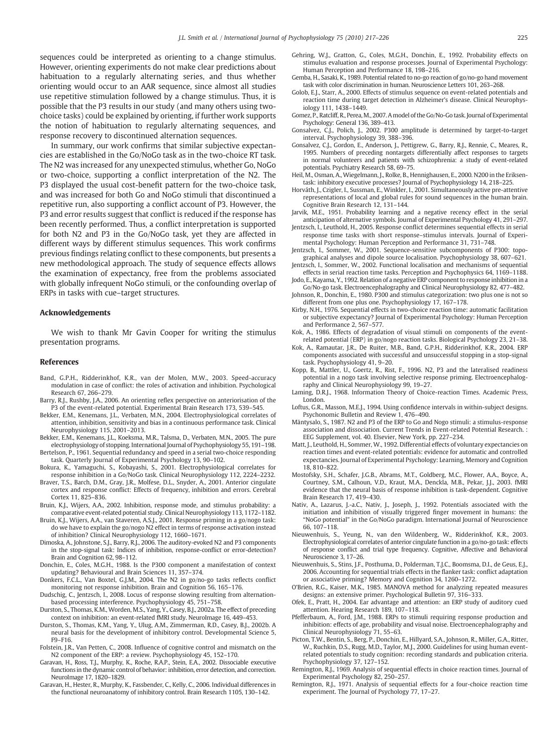<span id="page-8-0"></span>sequences could be interpreted as orienting to a change stimulus. However, orienting experiments do not make clear predictions about habituation to a regularly alternating series, and thus whether orienting would occur to an AAR sequence, since almost all studies use repetitive stimulation followed by a change stimulus. Thus, it is possible that the P3 results in our study (and many others using twochoice tasks) could be explained by orienting, if further work supports the notion of habituation to regularly alternating sequences, and response recovery to discontinued alternation sequences.

In summary, our work confirms that similar subjective expectancies are established in the Go/NoGo task as in the two-choice RT task. The N2 was increased for any unexpected stimulus, whether Go, NoGo or two-choice, supporting a conflict interpretation of the N2. The P3 displayed the usual cost-benefit pattern for the two-choice task, and was increased for both Go and NoGo stimuli that discontinued a repetitive run, also supporting a conflict account of P3. However, the P3 and error results suggest that conflict is reduced if the response has been recently performed. Thus, a conflict interpretation is supported for both N2 and P3 in the Go/NoGo task, yet they are affected in different ways by different stimulus sequences. This work confirms previous findings relating conflict to these components, but presents a new methodological approach. The study of sequence effects allows the examination of expectancy, free from the problems associated with globally infrequent NoGo stimuli, or the confounding overlap of ERPs in tasks with cue–target structures.

#### Acknowledgements

We wish to thank Mr Gavin Cooper for writing the stimulus presentation programs.

#### References

- Band, G.P.H., Ridderinkhof, K.R., van der Molen, M.W., 2003. Speed-accuracy modulation in case of conflict: the roles of activation and inhibition. Psychological Research 67, 266–279.
- Barry, R.J., Rushby, J.A., 2006. An orienting reflex perspective on anteriorisation of the P3 of the event-related potential. Experimental Brain Research 173, 539–545.
- Bekker, E.M., Kenemans, J.L., Verbaten, M.N., 2004. Electrophysiological correlates of attention, inhibition, sensitivity and bias in a continuous performance task. Clinical Neurophysiology 115, 2001–2013.
- Bekker, E.M., Kenemans, J.L., Koeksma, M.R., Talsma, D., Verbaten, M.N., 2005. The pure electrophysiology of stopping. International Journal of Psychophysiology 55, 191–198.
- Bertelson, P., 1961. Sequential redundancy and speed in a serial two-choice responding task. Quarterly Journal of Experimental Psychology 13, 90–102.
- Bokura, K., Yamaguchi, S., Kobayashi, S., 2001. Electrophysiological correlates for response inhibition in a Go/NoGo task. Clinical Neurophysiology 112, 2224–2232.
- Braver, T.S., Barch, D.M., Gray, J.R., Molfese, D.L., Snyder, A., 2001. Anterior cingulate cortex and response conflict: Effects of frequency, inhibition and errors. Cerebral Cortex 11, 825–836.
- Bruin, K.J., Wijers, A.A., 2002. Inhibition, response mode, and stimulus probability: a comparative event-related potential study. Clinical Neurophysiology 113, 1172–1182.
- Bruin, K.J., Wijers, A.A., van Staveren, A.S.J., 2001. Response priming in a go/nogo task: do we have to explain the go/nogo N2 effect in terms of response activation instead of inhibition? Clinical Neurophysiology 112, 1660–1671.
- Dimoska, A., Johnstone, S.J., Barry, R.J., 2006. The auditory-evoked N2 and P3 components in the stop-signal task: Indices of inhibition, response-conflict or error-detection? Brain and Cognition 62, 98–112.
- Donchin, E., Coles, M.G.H., 1988. Is the P300 component a manifestation of context updating? Behavioural and Brain Sciences 11, 357–374.
- Donkers, F.C.L., Van Boxtel, G.J.M., 2004. The N2 in go/no-go tasks reflects conflict monitoring not response inhibition. Brain and Cognition 56, 165–176.
- Dudschig, C., Jentzsch, I., 2008. Locus of response slowing resulting from alternationbased processing interference. Psychophysiology 45, 751–758.
- Durston, S., Thomas, K.M., Worden, M.S., Yang, Y., Casey, B.J., 2002a. The effect of preceding context on inhibition: an event-related fMRI study. NeuroImage 16, 449–453.
- Durston, S., Thomas, K.M., Yang, Y., Ulug, A.M., Zimmerman, R.D., Casey, B.J., 2002b. A neural basis for the development of inhibitory control. Developmental Science 5, F9–F16.
- Folstein, J.R., Van Petten, C., 2008. Influence of cognitive control and mismatch on the N2 component of the ERP: a review. Psychophysiology 45, 152–170.
- Garavan, H., Ross, T.J., Murphy, K., Roche, R.A.P., Stein, E.A., 2002. Dissociable executive functions in the dynamic control of behavior: inhibition, error detection, and correction. NeuroImage 17, 1820–1829.
- Garavan, H., Hester, R., Murphy, K., Fassbender, C., Kelly, C., 2006. Individual differences in the functional neuroanatomy of inhibitory control. Brain Research 1105, 130–142.
- Gehring, W.J., Gratton, G., Coles, M.G.H., Donchin, E., 1992. Probability effects on stimulus evaluation and response processes. Journal of Experimental Psychology: Human Perception and Performance 18, 198–216.
- Gemba, H., Sasaki, K., 1989. Potential related to no-go reaction of go/no-go hand movement task with color discrimination in human. Neuroscience Letters 101, 263–268.
- Golob, E.J., Starr, A., 2000. Effects of stimulus sequence on event-related potentials and reaction time during target detection in Alzheimer's disease. Clinical Neurophysiology 111, 1438–1449.
- Gomez, P., Ratcliff, R., Perea,M., 2007. A model of the Go/No-Go task. Journal of Experimental Psychology: General 136, 389–413.
- Gonsalvez, C.J., Polich, J., 2002. P300 amplitude is determined by target-to-target interval. Psychophysiology 39, 388–396.
- Gonsalvez, C.J., Gordon, E., Anderson, J., Pettigrew, G., Barry, R.J., Rennie, C., Meares, R., 1995. Numbers of preceding nontargets differentially affect responses to targets in normal volunteers and patients with schizophrenia: a study of event-related potentials. Psychiatry Research 58, 69–75.
- Heil, M., Osman, A., Wiegelmann, J., Rolke, B., Hennighausen, E., 2000. N200 in the Eriksentask: inhibitory executive processes? Journal of Psychophysiology 14, 218–225.
- Horváth, J., Czigler, I., Sussman, E., Winkler, I., 2001. Simultaneously active pre-attentive representations of local and global rules for sound sequences in the human brain. Cognitive Brain Research 12, 131–144.
- Jarvik, M.E., 1951. Probability learning and a negative recency effect in the serial anticipation of alternative symbols. Journal of Experimental Psychology 41, 291–297.
- Jentzsch, I., Leuthold, H., 2005. Response conflict determines sequential effects in serial response time tasks with short response–stimulus intervals. Journal of Experimental Psychology: Human Perception and Performance 31, 731–748.
- Jentzsch, I., Sommer, W., 2001. Sequence-sensitive subcomponents of P300: topographical analyses and dipole source localisation. Psychophysiology 38, 607–621.
- Jentzsch, I., Sommer, W., 2002. Functional localisation and mechanisms of sequential effects in serial reaction time tasks. Perception and Psychophysics 64, 1169–1188.
- Jodo, E., Kayama, Y., 1992. Relation of a negative ERP component to response inhibition in a Go/No-go task. Electroencephalography and Clinical Neurophysiology 82, 477–482.
- Johnson, R., Donchin, E., 1980. P300 and stimulus categorization: two plus one is not so different from one plus one. Psychophysiology 17, 167–178.
- Kirby, N.H., 1976. Sequential effects in two-choice reaction time: automatic facilitation or subjective expectancy? Journal of Experimental Psychology: Human Perception and Performance 2, 567–577.
- Kok, A., 1986. Effects of degradation of visual stimuli on components of the eventrelated potential (ERP) in go/nogo reaction tasks. Biological Psychology 23, 21–38.
- Kok, A., Ramautar, J.R., De Ruiter, M.B., Band, G.P.H., Ridderinkhof, K.R., 2004. ERP components associated with successful and unsuccessful stopping in a stop-signal task. Psychophysiology 41, 9–20.
- Kopp, B., Mattler, U., Goertz, R., Rist, F., 1996. N2, P3 and the lateralised readiness potential in a nogo task involving selective response priming. Electroencephalography and Clinical Neurophysiology 99, 19–27.
- Laming, D.R.J., 1968. Information Theory of Choice-reaction Times. Academic Press, London.
- Loftus, G.R., Masson, M.E.J., 1994. Using confidence intervals in within-subject designs. Psychonomic Bulletin and Review 1, 476–490.
- Mäntysalo, S., 1987. N2 and P3 of the ERP to Go and Nogo stimuli: a stimulus-response association and dissociation. Current Trends in Event-related Potential Research. : EEG Supplement, vol. 40. Elsevier, New York, pp. 227–234.
- Matt, J., Leuthold, H., Sommer, W., 1992. Differential effects of voluntary expectancies on reaction times and event-related potentials: evidence for automatic and controlled expectancies. Journal of Experimental Psychology: Learning, Memory and Cognition 18, 810–822.
- Mostofsky, S.H., Schafer, J.G.B., Abrams, M.T., Goldberg, M.C., Flower, A.A., Boyce, A., Courtney, S.M., Calhoun, V.D., Kraut, M.A., Denckla, M.B., Pekar, J.J., 2003. fMRI evidence that the neural basis of response inhibition is task-dependent. Cognitive Brain Research 17, 419–430.
- Nativ, A., Lazarus, J.-a.C., Nativ, J., Joseph, J., 1992. Potentials associated with the initiation and inhibition of visually triggered finger movement in humans: the "NoGo potential" in the Go/NoGo paradigm. International Journal of Neuroscience 66, 107–118.
- Nieuwenhuis, S., Yeung, N., van den Wildenberg, W., Ridderinkhof, K.R., 2003. Electrophysiological correlates of anterior cingulate function in a go/no-go task: effects of response conflict and trial type frequency. Cognitive, Affective and Behavioral Neuroscience 3, 17–26.
- Nieuwenhuis, S., Stins, J.F., Posthuma, D., Polderman, T.J.C., Boomsma, D.I., de Geus, E.J., 2006. Accounting for sequential trials effects in the flanker task: conflict adaptation or associative priming? Memory and Cognition 34, 1260–1272.
- O'Brien, R.G., Kaiser, M.K., 1985. MANOVA method for analyzing repeated measures designs: an extensive primer. Psychological Bulletin 97, 316–333.
- Ofek, E., Pratt, H., 2004. Ear advantage and attention: an ERP study of auditory cued attention. Hearing Research 189, 107–118.
- Pfefferbaum, A., Ford, J.M., 1988. ERPs to stimuli requiring response production and inhibition: effects of age, probability and visual noise. Electroencephalography and Clinical Neurophysiology 71, 55–63.
- Picton, T.W., Bentin, S., Berg, P., Donchin, E., Hillyard, S.A., Johnson, R., Miller, G.A., Ritter, W., Ruchkin, D.S., Rugg, M.D., Taylor, M.J., 2000. Guidelines for using human eventrelated potentials to study cognition: recording standards and publication criteria. Psychophysiology 37, 127–152.
- Remington, R.J., 1969. Analysis of sequential effects in choice reaction times. Journal of Experimental Psychology 82, 250–257.
- Remington, R.J., 1971. Analysis of sequential effects for a four-choice reaction time experiment. The Journal of Psychology 77, 17–27.